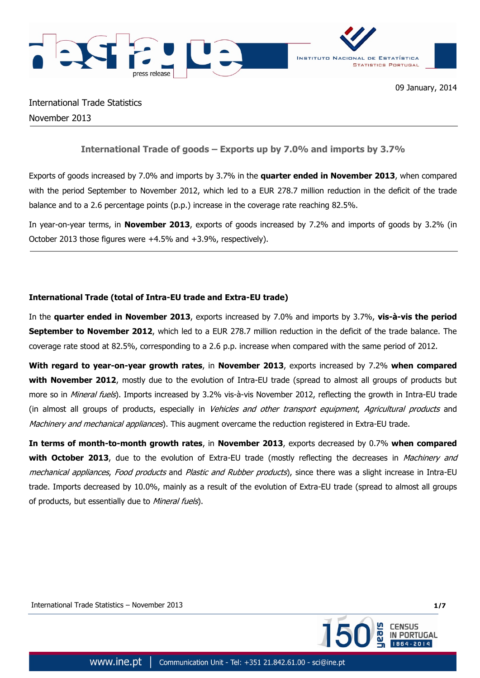

International Trade Statistics November 2013

# **International Trade of goods – Exports up by 7.0% and imports by 3.7%**

Exports of goods increased by 7.0% and imports by 3.7% in the **quarter ended in November 2013**, when compared with the period September to November 2012, which led to a EUR 278.7 million reduction in the deficit of the trade balance and to a 2.6 percentage points (p.p.) increase in the coverage rate reaching 82.5%.

In year-on-year terms, in **November 2013**, exports of goods increased by 7.2% and imports of goods by 3.2% (in October 2013 those figures were +4.5% and +3.9%, respectively).

## **International Trade (total of Intra-EU trade and Extra-EU trade)**

In the **quarter ended in November 2013**, exports increased by 7.0% and imports by 3.7%, **vis-à-vis the period September to November 2012**, which led to a EUR 278.7 million reduction in the deficit of the trade balance. The coverage rate stood at 82.5%, corresponding to a 2.6 p.p. increase when compared with the same period of 2012.

**With regard to year-on-year growth rates**, in **November 2013**, exports increased by 7.2% **when compared with November 2012**, mostly due to the evolution of Intra-EU trade (spread to almost all groups of products but more so in Mineral fuels). Imports increased by 3.2% vis-à-vis November 2012, reflecting the growth in Intra-EU trade (in almost all groups of products, especially in Vehicles and other transport equipment, Agricultural products and Machinery and mechanical appliances). This augment overcame the reduction registered in Extra-EU trade.

**In terms of month-to-month growth rates**, in **November 2013**, exports decreased by 0.7% **when compared with October 2013**, due to the evolution of Extra-EU trade (mostly reflecting the decreases in *Machinery and* mechanical appliances, Food products and Plastic and Rubber products), since there was a slight increase in Intra-EU trade. Imports decreased by 10.0%, mainly as a result of the evolution of Extra-EU trade (spread to almost all groups of products, but essentially due to Mineral fuels).

International Trade Statistics – November 2013 **1/7**

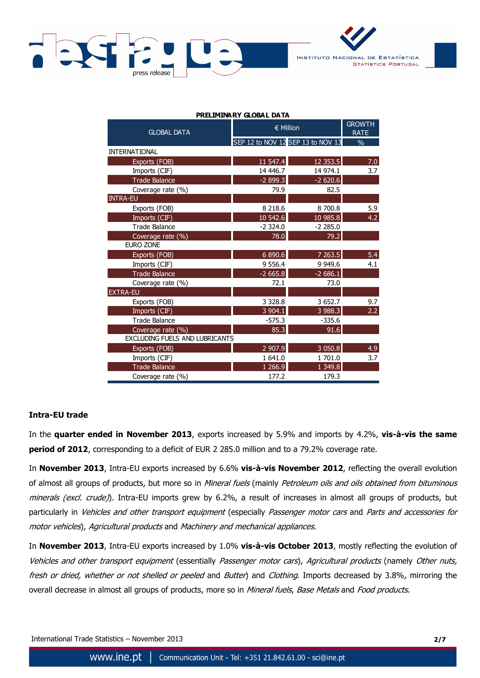



| PRELIMINARY GLOBAL DATA        |                                   |                              |               |  |  |  |  |
|--------------------------------|-----------------------------------|------------------------------|---------------|--|--|--|--|
| <b>GLOBAL DATA</b>             | $\in$ Million                     | <b>GROWTH</b><br><b>RATE</b> |               |  |  |  |  |
|                                | SEP 12 to NOV 12 SEP 13 to NOV 13 |                              | $\frac{0}{0}$ |  |  |  |  |
| <b>INTERNATIONAL</b>           |                                   |                              |               |  |  |  |  |
| Exports (FOB)                  | 11 547.4                          | 12 3 53.5                    | 7.0           |  |  |  |  |
| Imports (CIF)                  | 14 446.7                          | 14 974.1                     | 3.7           |  |  |  |  |
| <b>Trade Balance</b>           | $-2899.3$                         | $-2620.6$                    |               |  |  |  |  |
| Coverage rate (%)              | 79.9                              | 82.5                         |               |  |  |  |  |
| <b>INTRA-EU</b>                |                                   |                              |               |  |  |  |  |
| Exports (FOB)                  | 8 2 18.6                          | 8 700.8                      | 5.9           |  |  |  |  |
| Imports (CIF)                  | 10 542.6                          | 10985.8                      | 4.2           |  |  |  |  |
| <b>Trade Balance</b>           | $-2324.0$                         | $-2285.0$                    |               |  |  |  |  |
| Coverage rate (%)              | 78.0                              | 79.2                         |               |  |  |  |  |
| <b>EURO ZONE</b>               |                                   |                              |               |  |  |  |  |
| Exports (FOB)                  | 6 890.6                           | 7 263.5                      | 5.4           |  |  |  |  |
| Imports (CIF)                  | 9 5 5 6.4                         | 9 9 4 9.6                    | 4.1           |  |  |  |  |
| <b>Trade Balance</b>           | $-2665.8$                         | $-2686.1$                    |               |  |  |  |  |
| Coverage rate (%)              | 72.1                              | 73.0                         |               |  |  |  |  |
| <b>EXTRA-EU</b>                |                                   |                              |               |  |  |  |  |
| Exports (FOB)                  | 3 3 28.8                          | 3 652.7                      | 9.7           |  |  |  |  |
| Imports (CIF)                  | 3 904.1                           | 3 988.3                      | 2.2           |  |  |  |  |
| <b>Trade Balance</b>           | $-575.3$                          | $-335.6$                     |               |  |  |  |  |
| Coverage rate (%)              | 85.3                              | 91.6                         |               |  |  |  |  |
| EXCLUDING FUELS AND LUBRICANTS |                                   |                              |               |  |  |  |  |
| Exports (FOB)                  | 2 907.9                           | 3 0 5 0.8                    | 4.9           |  |  |  |  |
| Imports (CIF)                  | 1 641.0                           | 1 701.0                      | 3.7           |  |  |  |  |
| <b>Trade Balance</b>           | 1 266.9                           | 1 3 4 9 . 8                  |               |  |  |  |  |
| Coverage rate (%)              | 177.2                             | 179.3                        |               |  |  |  |  |

**PRELIMINARY GLOBAL DATA**

## **Intra-EU trade**

In the **quarter ended in November 2013**, exports increased by 5.9% and imports by 4.2%, **vis-à-vis the same period of 2012**, corresponding to a deficit of EUR 2 285.0 million and to a 79.2% coverage rate.

In **November 2013**, Intra-EU exports increased by 6.6% **vis-à-vis November 2012**, reflecting the overall evolution of almost all groups of products, but more so in Mineral fuels (mainly Petroleum oils and oils obtained from bituminous minerals (excl. crude)). Intra-EU imports grew by 6.2%, a result of increases in almost all groups of products, but particularly in Vehicles and other transport equipment (especially Passenger motor cars and Parts and accessories for motor vehicles), Agricultural products and Machinery and mechanical appliances.

In **November 2013**, Intra-EU exports increased by 1.0% **vis-à-vis October 2013**, mostly reflecting the evolution of Vehicles and other transport equipment (essentially Passenger motor cars), Agricultural products (namely Other nuts, fresh or dried, whether or not shelled or peeled and Butter) and Clothing. Imports decreased by 3.8%, mirroring the overall decrease in almost all groups of products, more so in Mineral fuels, Base Metals and Food products.

International Trade Statistics – November 2013 **2/7**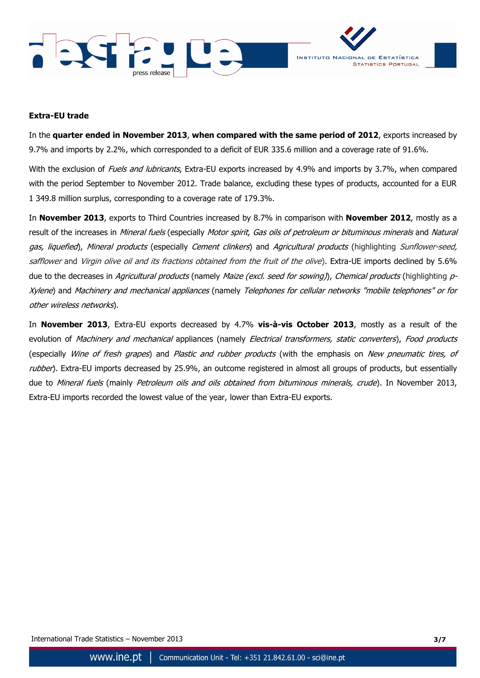



### **Extra-EU trade**

In the **quarter ended in November 2013**, **when compared with the same period of 2012**, exports increased by 9.7% and imports by 2.2%, which corresponded to a deficit of EUR 335.6 million and a coverage rate of 91.6%.

With the exclusion of *Fuels and lubricants*, Extra-EU exports increased by 4.9% and imports by 3.7%, when compared with the period September to November 2012. Trade balance, excluding these types of products, accounted for a EUR 1 349.8 million surplus, corresponding to a coverage rate of 179.3%.

In **November 2013**, exports to Third Countries increased by 8.7% in comparison with **November 2012**, mostly as a result of the increases in *Mineral fuels* (especially *Motor spirit, Gas oils of petroleum or bituminous minerals* and *Natural* gas, liquefied), Mineral products (especially Cement clinkers) and Agricultural products (highlighting Sunflower-seed, safflower and Virgin olive oil and its fractions obtained from the fruit of the olive). Extra-UE imports declined by 5.6% due to the decreases in Agricultural products (namely Maize (excl. seed for sowing)), Chemical products (highlighting p-Xylene) and Machinery and mechanical appliances (namely Telephones for cellular networks "mobile telephones" or for other wireless networks).

In **November 2013**, Extra-EU exports decreased by 4.7% **vis-à-vis October 2013**, mostly as a result of the evolution of Machinery and mechanical appliances (namely Electrical transformers, static converters), Food products (especially Wine of fresh grapes) and Plastic and rubber products (with the emphasis on New pneumatic tires, of rubber). Extra-EU imports decreased by 25.9%, an outcome registered in almost all groups of products, but essentially due to Mineral fuels (mainly Petroleum oils and oils obtained from bituminous minerals, crude). In November 2013, Extra-EU imports recorded the lowest value of the year, lower than Extra-EU exports.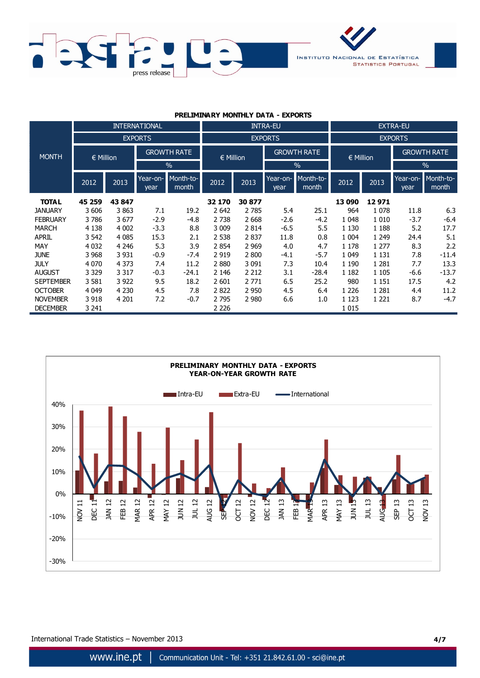

#### **PRELIMINARY MONTHLY DATA - EXPORTS**

|                  |               |         | <b>INTERNATIONAL</b> |                                     |         |         | <b>INTRA-EU</b>    |                    | <b>EXTRA-EU</b> |         |                    |                    |
|------------------|---------------|---------|----------------------|-------------------------------------|---------|---------|--------------------|--------------------|-----------------|---------|--------------------|--------------------|
|                  |               |         | <b>EXPORTS</b>       |                                     |         |         | <b>EXPORTS</b>     |                    | <b>EXPORTS</b>  |         |                    |                    |
| <b>MONTH</b>     | $\in$ Million |         |                      | <b>GROWTH RATE</b><br>$\in$ Million |         |         | <b>GROWTH RATE</b> |                    | $\in$ Million   |         | <b>GROWTH RATE</b> |                    |
|                  |               |         |                      | $\frac{0}{0}$                       |         |         |                    | $\%$               |                 |         |                    | $\frac{0}{0}$      |
|                  | 2012          | 2013    | Year-on-<br>year     | Month-to-<br>month                  | 2012    | 2013    | Year-on-<br>year   | Month-to-<br>month | 2012            | 2013    | Year-on-<br>year   | Month-to-<br>month |
| <b>TOTAL</b>     | 45 259        | 43 847  |                      |                                     | 32 170  | 30 877  |                    |                    | 13 090          | 12971   |                    |                    |
| <b>JANUARY</b>   | 3 606         | 3863    | 7.1                  | 19.2                                | 2 6 4 2 | 2 7 8 5 | 5.4                | 25.1               | 964             | 1 0 7 8 | 11.8               | 6.3                |
| <b>FEBRUARY</b>  | 3786          | 3677    | $-2.9$               | $-4.8$                              | 2 7 3 8 | 2 6 6 8 | $-2.6$             | $-4.2$             | 1 0 4 8         | 1 0 1 0 | $-3.7$             | $-6.4$             |
| <b>MARCH</b>     | 4 1 3 8       | 4 0 0 2 | $-3.3$               | 8.8                                 | 3 0 0 9 | 2814    | $-6.5$             | 5.5                | 1 1 3 0         | 1 1 8 8 | 5.2                | 17.7               |
| <b>APRIL</b>     | 3 5 4 2       | 4 0 8 5 | 15.3                 | 2.1                                 | 2 5 3 8 | 2837    | 11.8               | 0.8                | 1 0 0 4         | 1 2 4 9 | 24.4               | 5.1                |
| MAY              | 4 0 32        | 4 2 4 6 | 5.3                  | 3.9                                 | 2854    | 2 9 6 9 | 4.0                | 4.7                | 1 1 7 8         | 1 2 7 7 | 8.3                | 2.2                |
| <b>JUNE</b>      | 3 9 6 8       | 3 9 3 1 | $-0.9$               | $-7.4$                              | 2919    | 2 800   | $-4.1$             | $-5.7$             | 1 0 4 9         | 1 1 3 1 | 7.8                | $-11.4$            |
| <b>JULY</b>      | 4 0 7 0       | 4 3 7 3 | 7.4                  | 11.2                                | 2880    | 3 0 9 1 | 7.3                | 10.4               | 1 1 9 0         | 1 2 8 1 | 7.7                | 13.3               |
| <b>AUGUST</b>    | 3 3 2 9       | 3 3 1 7 | $-0.3$               | $-24.1$                             | 2 1 4 6 | 2 2 1 2 | 3.1                | $-28.4$            | 1 1 8 2         | 1 1 0 5 | $-6.6$             | $-13.7$            |
| <b>SEPTEMBER</b> | 3 5 8 1       | 3 9 2 2 | 9.5                  | 18.2                                | 2 601   | 2 7 7 1 | 6.5                | 25.2               | 980             | 1 1 5 1 | 17.5               | 4.2                |
| <b>OCTOBER</b>   | 4 0 4 9       | 4 2 3 0 | 4.5                  | 7.8                                 | 2822    | 2 9 5 0 | 4.5                | 6.4                | 1 2 2 6         | 1 2 8 1 | 4.4                | 11.2               |
| <b>NOVEMBER</b>  | 3 9 18        | 4 2 0 1 | 7.2                  | $-0.7$                              | 2795    | 2 9 8 0 | 6.6                | 1.0                | 1 1 2 3         | 1 2 2 1 | 8.7                | $-4.7$             |
| <b>DECEMBER</b>  | 3 241         |         |                      |                                     | 2 2 2 6 |         |                    |                    | 1 0 1 5         |         |                    |                    |

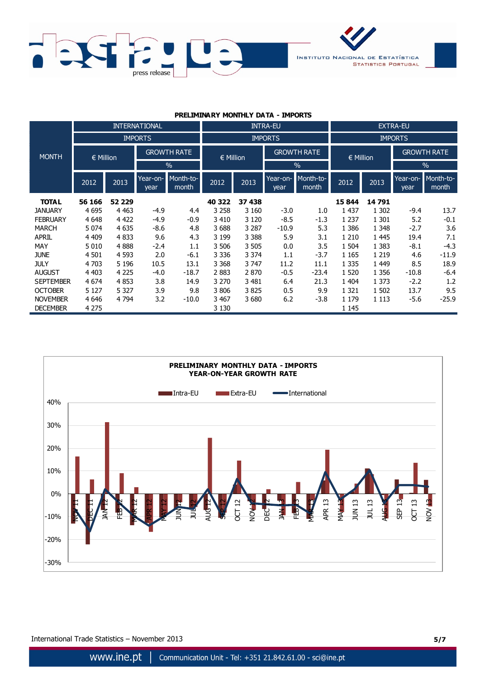

#### **PRELIMINARY MONTHLY DATA - IMPORTS**

|                  |               |          | <b>INTERNATIONAL</b> |                    |               |         | <b>INTRA-EU</b>    |                    | <b>EXTRA-EU</b> |         |                    |                    |
|------------------|---------------|----------|----------------------|--------------------|---------------|---------|--------------------|--------------------|-----------------|---------|--------------------|--------------------|
|                  |               |          | <b>IMPORTS</b>       |                    |               |         | <b>IMPORTS</b>     |                    | <b>IMPORTS</b>  |         |                    |                    |
| <b>MONTH</b>     | $\in$ Million |          | <b>GROWTH RATE</b>   |                    | $\in$ Million |         | <b>GROWTH RATE</b> |                    | $\in$ Million   |         | <b>GROWTH RATE</b> |                    |
|                  |               |          |                      | $\frac{0}{0}$      |               |         |                    | $\%$               |                 |         |                    | $\frac{0}{0}$      |
|                  | 2012          | 2013     | Year-on-<br>year     | Month-to-<br>month | 2012          | 2013    | Year-on-<br>year   | Month-to-<br>month | 2012            | 2013    | Year-on-<br>year   | Month-to-<br>month |
| <b>TOTAL</b>     | 56 166        | 52 2 2 9 |                      |                    | 40 322        | 37 438  |                    |                    | 15 844          | 14 791  |                    |                    |
| <b>JANUARY</b>   | 4 6 9 5       | 4 4 6 3  | $-4.9$               | 4.4                | 3 2 5 8       | 3 1 6 0 | $-3.0$             | 1.0                | 1 4 3 7         | 1 3 0 2 | $-9.4$             | 13.7               |
| <b>FEBRUARY</b>  | 4 6 4 8       | 4 4 2 2  | $-4.9$               | $-0.9$             | 3 4 1 0       | 3 1 2 0 | $-8.5$             | $-1.3$             | 1 2 3 7         | 1 3 0 1 | 5.2                | $-0.1$             |
| <b>MARCH</b>     | 5 0 7 4       | 4 6 3 5  | $-8.6$               | 4.8                | 3688          | 3 2 8 7 | $-10.9$            | 5.3                | 1 3 8 6         | 1 3 4 8 | $-2.7$             | 3.6                |
| <b>APRIL</b>     | 4 4 0 9       | 4833     | 9.6                  | 4.3                | 3 1 9 9       | 3 3 8 8 | 5.9                | 3.1                | 1 2 1 0         | 1 4 4 5 | 19.4               | 7.1                |
| MAY              | 5 0 1 0       | 4888     | $-2.4$               | 1.1                | 3 506         | 3 5 0 5 | 0.0                | 3.5                | 1 504           | 1 3 8 3 | $-8.1$             | $-4.3$             |
| <b>JUNE</b>      | 4 5 0 1       | 4 5 9 3  | 2.0                  | $-6.1$             | 3 3 3 6       | 3 3 7 4 | 1.1                | $-3.7$             | 1 1 6 5         | 1 2 1 9 | 4.6                | $-11.9$            |
| <b>JULY</b>      | 4 703         | 5 1 9 6  | 10.5                 | 13.1               | 3 3 6 8       | 3 747   | 11.2               | 11.1               | 1 3 3 5         | 1 4 4 9 | 8.5                | 18.9               |
| <b>AUGUST</b>    | 4 4 0 3       | 4 2 2 5  | $-4.0$               | $-18.7$            | 2883          | 2870    | $-0.5$             | $-23.4$            | 1 5 2 0         | 1 3 5 6 | $-10.8$            | $-6.4$             |
| <b>SEPTEMBER</b> | 4 6 7 4       | 4853     | 3.8                  | 14.9               | 3 2 7 0       | 3 4 8 1 | 6.4                | 21.3               | 1 404           | 1 3 7 3 | $-2.2$             | 1.2                |
| <b>OCTOBER</b>   | 5 1 2 7       | 5 3 2 7  | 3.9                  | 9.8                | 3806          | 3825    | 0.5                | 9.9                | 1 3 2 1         | 1 502   | 13.7               | 9.5                |
| <b>NOVEMBER</b>  | 4 6 4 6       | 4 7 9 4  | 3.2                  | $-10.0$            | 3 4 6 7       | 3680    | 6.2                | $-3.8$             | 1 1 7 9         | 1 1 1 3 | $-5.6$             | $-25.9$            |
| <b>DECEMBER</b>  | 4 2 7 5       |          |                      |                    | 3 1 3 0       |         |                    |                    | 1 1 4 5         |         |                    |                    |

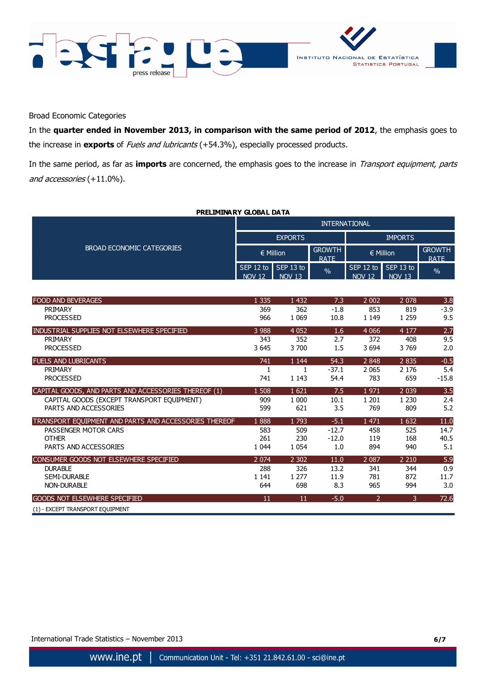



Broad Economic Categories

In the **quarter ended in November 2013, in comparison with the same period of 2012**, the emphasis goes to the increase in **exports** of Fuels and lubricants (+54.3%), especially processed products.

In the same period, as far as **imports** are concerned, the emphasis goes to the increase in Transport equipment, parts and accessories (+11.0%).

**PRELIMINARY GLOBAL DATA**

|                                                       | <b>INTERNATIONAL</b>       |                            |                              |                            |                              |               |  |  |
|-------------------------------------------------------|----------------------------|----------------------------|------------------------------|----------------------------|------------------------------|---------------|--|--|
|                                                       |                            | <b>EXPORTS</b>             |                              | <b>IMPORTS</b>             |                              |               |  |  |
| <b>BROAD ECONOMIC CATEGORIES</b>                      |                            | € Million                  | <b>GROWTH</b><br><b>RATE</b> | € Million                  | <b>GROWTH</b><br><b>RATE</b> |               |  |  |
|                                                       | SEP 12 to<br><b>NOV 12</b> | SEP 13 to<br><b>NOV 13</b> | $\frac{0}{0}$                | SEP 12 to<br><b>NOV 12</b> | SEP 13 to<br><b>NOV 13</b>   | $\frac{0}{0}$ |  |  |
| <b>FOOD AND BEVERAGES</b>                             | 1 3 3 5                    | 1 4 3 2                    | 7.3                          | 2 0 0 2                    | 2 0 7 8                      |               |  |  |
| PRIMARY                                               | 369                        | 362                        | $-1.8$                       | 853                        | 819                          | 3.8<br>$-3.9$ |  |  |
| <b>PROCESSED</b>                                      | 966                        | 1 0 6 9                    | 10.8                         | 1 1 4 9                    | 1 2 5 9                      | 9.5           |  |  |
| INDUSTRIAL SUPPLIES NOT ELSEWHERE SPECIFIED           | 3 9 8 8                    | 4 0 5 2                    | 1.6                          | 4 0 6 6                    | 4 1 7 7                      | 2.7           |  |  |
| PRIMARY                                               | 343                        | 352                        | 2.7                          | 372                        | 408                          | 9.5           |  |  |
| <b>PROCESSED</b>                                      | 3 6 4 5                    | 3700                       | 1.5                          | 3 6 9 4                    | 3769                         | 2.0           |  |  |
| <b>FUELS AND LUBRICANTS</b>                           | 741                        | 1 1 4 4                    | 54.3                         | 2 8 4 8                    | 2 8 3 5                      | $-0.5$        |  |  |
| PRIMARY                                               | 1                          | $\mathbf{1}$               | $-37.1$                      | 2 0 6 5                    | 2 1 7 6                      | 5.4           |  |  |
| <b>PROCESSED</b>                                      | 741                        | 1 1 4 3                    | 54.4                         | 783                        | 659                          | $-15.8$       |  |  |
| CAPITAL GOODS, AND PARTS AND ACCESSORIES THEREOF (1)  | 1 508                      | 1 6 2 1                    | 7.5                          | 1971                       | 2 0 3 9                      | 3.5           |  |  |
| CAPITAL GOODS (EXCEPT TRANSPORT EQUIPMENT)            | 909                        | 1 0 0 0                    | 10.1                         | 1 2 0 1                    | 1 2 3 0                      | 2.4           |  |  |
| PARTS AND ACCESSORIES                                 | 599                        | 621                        | 3.5                          | 769                        | 809                          | 5.2           |  |  |
| TRANSPORT EQUIPMENT AND PARTS AND ACCESSORIES THEREOF | 1888                       | 1793                       | $-5.1$                       | 1 4 7 1                    | 1 6 3 2                      | 11.0          |  |  |
| PASSENGER MOTOR CARS                                  | 583                        | 509                        | $-12.7$                      | 458                        | 525                          | 14.7          |  |  |
| <b>OTHER</b><br>PARTS AND ACCESSORIES                 | 261<br>1 0 4 4             | 230<br>1 0 5 4             | $-12.0$                      | 119<br>894                 | 168                          | 40.5          |  |  |
|                                                       |                            |                            | 1.0                          |                            | 940                          | 5.1           |  |  |
| CONSUMER GOODS NOT ELSEWHERE SPECIFIED                | 2 0 7 4                    | 2 3 0 2                    | 11.0                         | 2 0 8 7                    | 2 2 1 0                      | 5.9           |  |  |
| <b>DURABLE</b>                                        | 288                        | 326                        | 13.2                         | 341                        | 344                          | 0.9           |  |  |
| <b>SEMI-DURABLE</b><br><b>NON-DURABLE</b>             | 1 1 4 1<br>644             | 1 2 7 7<br>698             | 11.9<br>8.3                  | 781<br>965                 | 872<br>994                   | 11.7<br>3.0   |  |  |
|                                                       |                            |                            |                              |                            |                              |               |  |  |
| <b>GOODS NOT ELSEWHERE SPECIFIED</b>                  | 11                         | 11                         | $-5.0$                       | $\overline{2}$             | 3                            | 72.6          |  |  |
| (1) - EXCEPT TRANSPORT EQUIPMENT                      |                            |                            |                              |                            |                              |               |  |  |

International Trade Statistics – November 2013 **6/7**